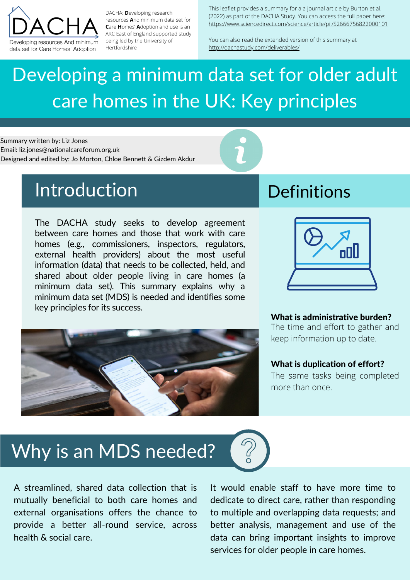## Why is an MDS needed?

This leaflet provides a summary for a a journal article by Burton et al. (2022) as part of the DACHA Study. You can access the full paper here: https://www.sciencedirect.com/science/article/pii/S2666756822000101

You can also read the extended version of this summary at http://dachastudy.com/deliverables/



DACHA: **D**eveloping research resources **A**nd minimum data set for **C**are **H**omes' **A**doption and use is an ARC East of England supported study being led by the University of Hertfordshire

The DACHA study seeks to develop agreement between care homes and those that work with care homes (e.g., commissioners, inspectors, regulators, external health providers) about the most useful information (data) that needs to be collected, held, and shared about older people living in care homes (a minimum data set). This summary explains why a minimum data set (MDS) is needed and identifies some key principles for its success.





# Developing a minimum data set for older adult care homes in the UK: Key principles

A streamlined, shared data collection that is mutually beneficial to both care homes and external organisations offers the chance to provide a better all-round service, across health & social care.

It would enable staff to have more time to dedicate to direct care, rather than responding to multiple and overlapping data requests; and better analysis, management and use of the data can bring important insights to improve services for older people in care homes.

Summary written by: Liz Jones Email: liz.jones@nationalcareforum.org.uk Designed and edited by: Jo Morton, Chloe Bennett & Gizdem Akdur

### Introduction Definitions

#### What is administrative burden?

The time and effort to gather and keep information up to date.

### What is duplication of effort?

The same tasks being completed more than once.